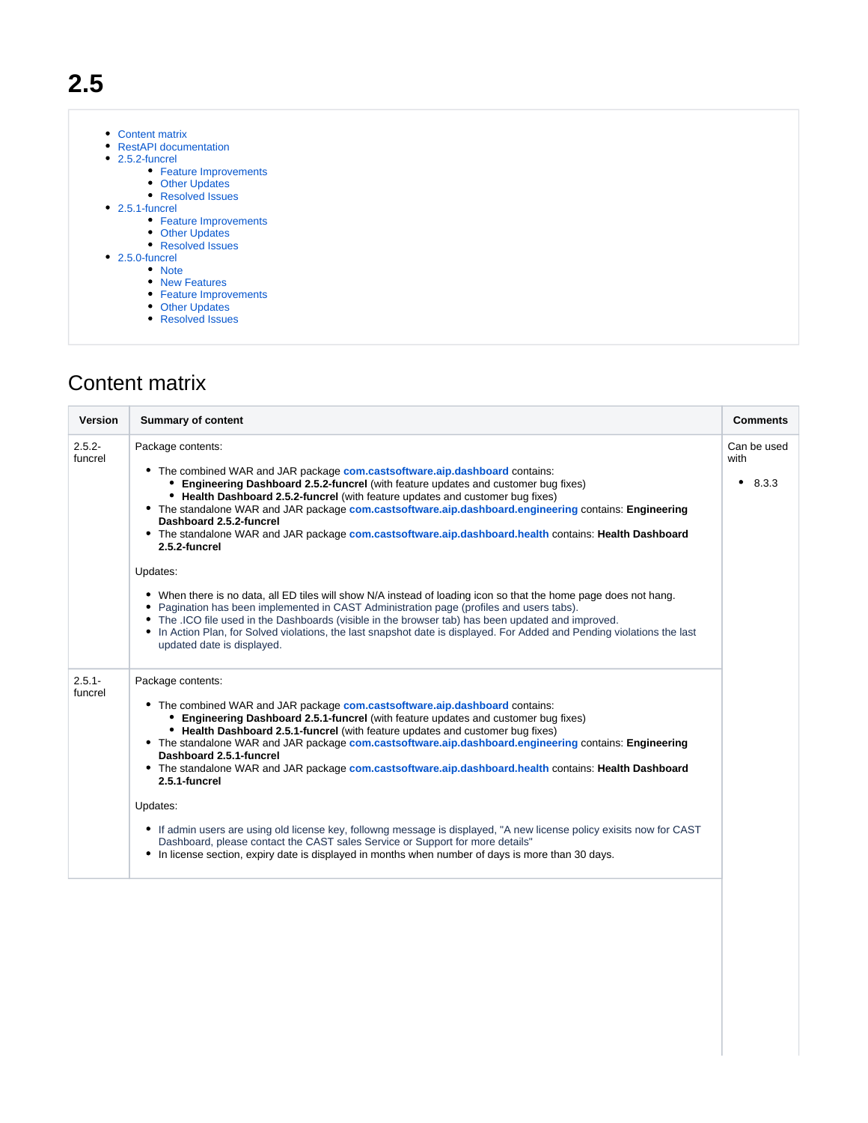- [Content matrix](#page-0-0)
- [RestAPI documentation](#page-1-0)
- [2.5.2-funcrel](#page-1-1)
	- [Feature Improvements](#page-1-2)
	- **[Other Updates](#page-1-3)**
	- [Resolved Issues](#page-1-4)
- [2.5.1-funcrel](#page-2-0)
	- [Feature Improvements](#page-2-1)
	- **[Other Updates](#page-2-2)**
	- [Resolved Issues](#page-2-3)
- [2.5.0-funcrel](#page-2-4)
	- [Note](#page-2-5) [New Features](#page-2-6)
	- [Feature Improvements](#page-3-0)
	- **[Other Updates](#page-3-1)**
	- [Resolved Issues](#page-4-0)

# <span id="page-0-0"></span>Content matrix

| Version              | <b>Summary of content</b>                                                                                                                                                                                                                                                                                                                                                                                                                                                                                                                                                                                                                                                                                                                                                                                                                                                                                                                                                                                                           | <b>Comments</b>                   |
|----------------------|-------------------------------------------------------------------------------------------------------------------------------------------------------------------------------------------------------------------------------------------------------------------------------------------------------------------------------------------------------------------------------------------------------------------------------------------------------------------------------------------------------------------------------------------------------------------------------------------------------------------------------------------------------------------------------------------------------------------------------------------------------------------------------------------------------------------------------------------------------------------------------------------------------------------------------------------------------------------------------------------------------------------------------------|-----------------------------------|
| $2.5.2 -$<br>funcrel | Package contents:<br>• The combined WAR and JAR package com.castsoftware.aip.dashboard contains:<br>Engineering Dashboard 2.5.2-funcrel (with feature updates and customer bug fixes)<br>• Health Dashboard 2.5.2-funcrel (with feature updates and customer bug fixes)<br>• The standalone WAR and JAR package com.castsoftware.aip.dashboard.engineering contains: Engineering<br>Dashboard 2.5.2-funcrel<br>• The standalone WAR and JAR package com.castsoftware.aip.dashboard.health contains: Health Dashboard<br>2.5.2-funcrel<br>Updates:<br>• When there is no data, all ED tiles will show N/A instead of loading icon so that the home page does not hang.<br>Pagination has been implemented in CAST Administration page (profiles and users tabs).<br>٠<br>• The .ICO file used in the Dashboards (visible in the browser tab) has been updated and improved.<br>• In Action Plan, for Solved violations, the last snapshot date is displayed. For Added and Pending violations the last<br>updated date is displayed. | Can be used<br>with<br>8.3.3<br>٠ |
| $2.5.1 -$<br>funcrel | Package contents:<br>• The combined WAR and JAR package com.castsoftware.aip.dashboard contains:<br>Engineering Dashboard 2.5.1-funcrel (with feature updates and customer bug fixes)<br>• Health Dashboard 2.5.1-funcrel (with feature updates and customer bug fixes)<br>• The standalone WAR and JAR package com.castsoftware.aip.dashboard.engineering contains: Engineering<br>Dashboard 2.5.1-funcrel<br>• The standalone WAR and JAR package com.castsoftware.aip.dashboard.health contains: Health Dashboard<br>2.5.1-funcrel<br>Updates:<br>• If admin users are using old license key, followng message is displayed, "A new license policy exisits now for CAST<br>Dashboard, please contact the CAST sales Service or Support for more details"<br>• In license section, expiry date is displayed in months when number of days is more than 30 days.                                                                                                                                                                   |                                   |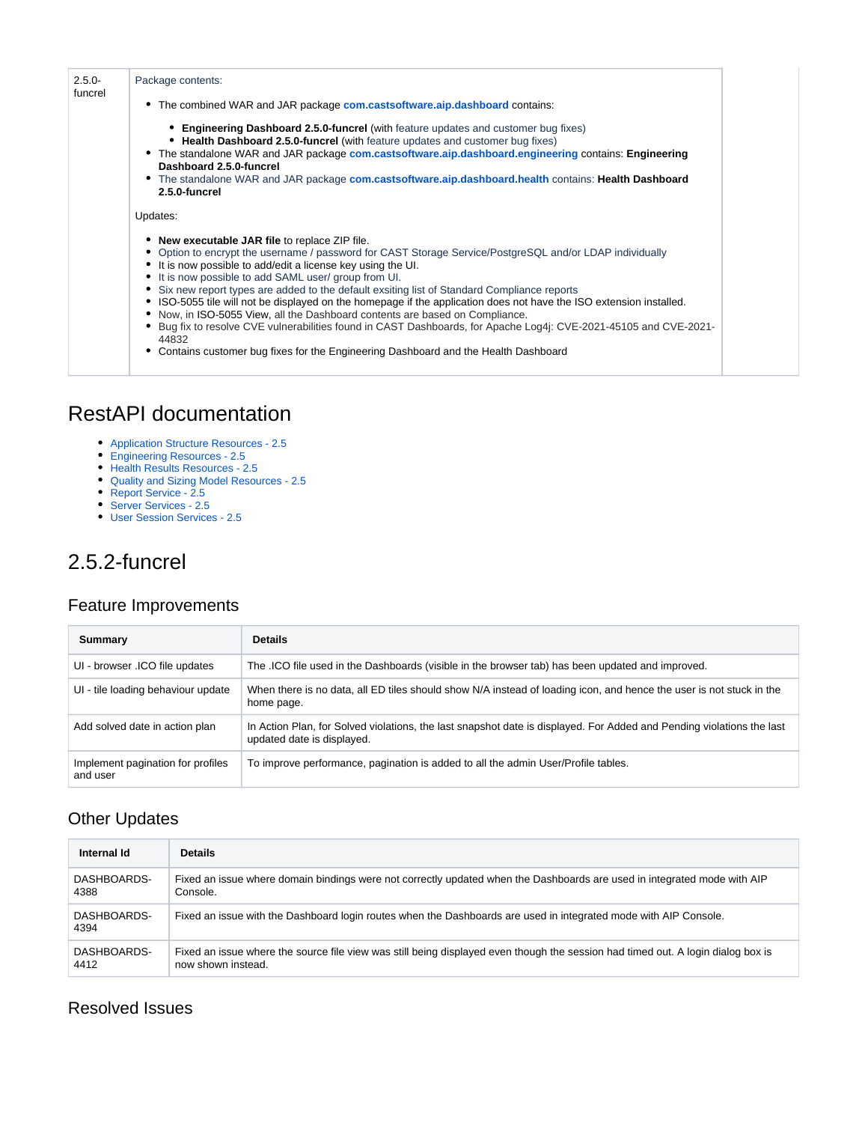| $2.5.0 -$<br>funcrel | Package contents:<br>• The combined WAR and JAR package com.castsoftware.aip.dashboard contains:                                                                                                                                                                                                                                                                                                                                                                                                                                                                                                                                                                                                                                                                                                               |  |
|----------------------|----------------------------------------------------------------------------------------------------------------------------------------------------------------------------------------------------------------------------------------------------------------------------------------------------------------------------------------------------------------------------------------------------------------------------------------------------------------------------------------------------------------------------------------------------------------------------------------------------------------------------------------------------------------------------------------------------------------------------------------------------------------------------------------------------------------|--|
|                      | <b>• Engineering Dashboard 2.5.0-funcrel</b> (with feature updates and customer bug fixes)<br>• Health Dashboard 2.5.0-funcrel (with feature updates and customer bug fixes)<br>• The standalone WAR and JAR package com.castsoftware.aip.dashboard.engineering contains: Engineering<br>Dashboard 2.5.0-funcrel<br>• The standalone WAR and JAR package com.castsoftware.aip.dashboard.health contains: Health Dashboard<br>2.5.0-funcrel                                                                                                                                                                                                                                                                                                                                                                     |  |
|                      | Updates:<br>• New executable JAR file to replace ZIP file.<br>Option to encrypt the username / password for CAST Storage Service/PostgreSQL and/or LDAP individually<br>It is now possible to add/edit a license key using the UI.<br>It is now possible to add SAML user/ group from UI.<br>Six new report types are added to the default exsiting list of Standard Compliance reports<br>• ISO-5055 tile will not be displayed on the homepage if the application does not have the ISO extension installed.<br>Now, in ISO-5055 View, all the Dashboard contents are based on Compliance.<br>Bug fix to resolve CVE vulnerabilities found in CAST Dashboards, for Apache Log4i: CVE-2021-45105 and CVE-2021-<br>44832<br>Contains customer bug fixes for the Engineering Dashboard and the Health Dashboard |  |

## <span id="page-1-0"></span>RestAPI documentation

- [Application Structure Resources 2.5](https://doc.castsoftware.com/display/DASHBOARDS/Application+Structure+Resources+-+2.5)
- [Engineering Resources 2.5](https://doc.castsoftware.com/display/DASHBOARDS/Engineering+Resources+-+2.5)
- [Health Results Resources 2.5](https://doc.castsoftware.com/display/DASHBOARDS/Health+Results+Resources+-+2.5)
- [Quality and Sizing Model Resources 2.5](https://doc.castsoftware.com/display/DASHBOARDS/Quality+and+Sizing+Model+Resources+-+2.5)
- [Report Service 2.5](https://doc.castsoftware.com/display/DASHBOARDS/Report+Service+-+2.5)
- [Server Services 2.5](https://doc.castsoftware.com/display/DASHBOARDS/Server+Services+-+2.5)
- [User Session Services 2.5](https://doc.castsoftware.com/display/DASHBOARDS/User+Session+Services+-+2.5)

## <span id="page-1-1"></span>2.5.2-funcrel

### <span id="page-1-2"></span>Feature Improvements

| Summary                                       | <b>Details</b>                                                                                                                                      |
|-----------------------------------------------|-----------------------------------------------------------------------------------------------------------------------------------------------------|
| UI - browser .ICO file updates                | The . ICO file used in the Dashboards (visible in the browser tab) has been updated and improved.                                                   |
| UI - tile loading behaviour update            | When there is no data, all ED tiles should show N/A instead of loading icon, and hence the user is not stuck in the<br>home page.                   |
| Add solved date in action plan                | In Action Plan, for Solved violations, the last snapshot date is displayed. For Added and Pending violations the last<br>updated date is displayed. |
| Implement pagination for profiles<br>and user | To improve performance, pagination is added to all the admin User/Profile tables.                                                                   |

### <span id="page-1-3"></span>Other Updates

| Internal Id         | <b>Details</b>                                                                                                                   |
|---------------------|----------------------------------------------------------------------------------------------------------------------------------|
| DASHBOARDS-         | Fixed an issue where domain bindings were not correctly updated when the Dashboards are used in integrated mode with AIP         |
| 4388                | Console.                                                                                                                         |
| DASHBOARDS-<br>4394 | Fixed an issue with the Dashboard login routes when the Dashboards are used in integrated mode with AIP Console.                 |
| DASHBOARDS-         | Fixed an issue where the source file view was still being displayed even though the session had timed out. A login dialog box is |
| 4412                | now shown instead.                                                                                                               |

### <span id="page-1-4"></span>Resolved Issues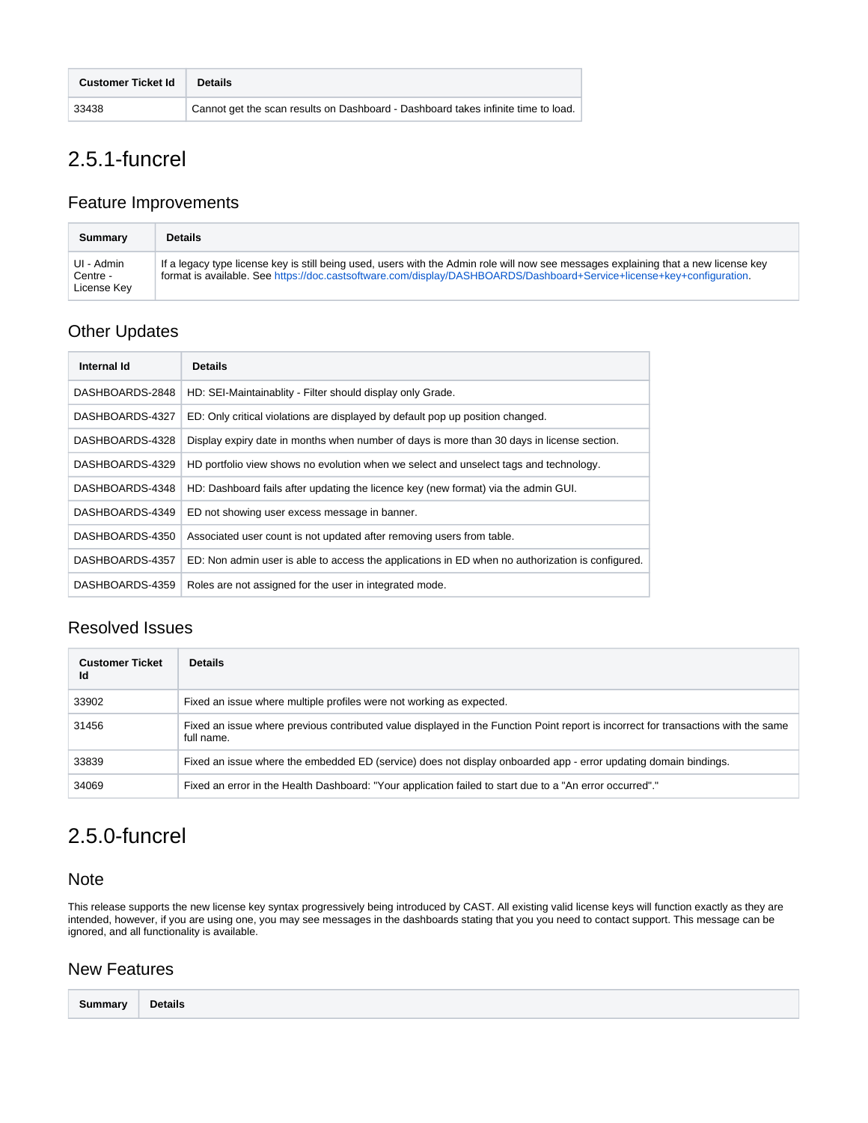| <b>Customer Ticket Id</b> | <b>Details</b>                                                                    |
|---------------------------|-----------------------------------------------------------------------------------|
| 33438                     | Cannot get the scan results on Dashboard - Dashboard takes infinite time to load. |

# <span id="page-2-0"></span>2.5.1-funcrel

#### <span id="page-2-1"></span>Feature Improvements

| Summary                               | <b>Details</b>                                                                                                                                                                                                                                               |
|---------------------------------------|--------------------------------------------------------------------------------------------------------------------------------------------------------------------------------------------------------------------------------------------------------------|
| UI - Admin<br>Centre -<br>License Key | If a legacy type license key is still being used, users with the Admin role will now see messages explaining that a new license key<br>format is available. See https://doc.castsoftware.com/display/DASHBOARDS/Dashboard+Service+license+key+configuration. |

### <span id="page-2-2"></span>Other Updates

| Internal Id     | <b>Details</b>                                                                                   |
|-----------------|--------------------------------------------------------------------------------------------------|
| DASHBOARDS-2848 | HD: SEI-Maintainablity - Filter should display only Grade.                                       |
| DASHBOARDS-4327 | ED: Only critical violations are displayed by default pop up position changed.                   |
| DASHBOARDS-4328 | Display expiry date in months when number of days is more than 30 days in license section.       |
| DASHBOARDS-4329 | HD portfolio view shows no evolution when we select and unselect tags and technology.            |
| DASHBOARDS-4348 | HD: Dashboard fails after updating the licence key (new format) via the admin GUI.               |
| DASHBOARDS-4349 | ED not showing user excess message in banner.                                                    |
| DASHBOARDS-4350 | Associated user count is not updated after removing users from table.                            |
| DASHBOARDS-4357 | ED: Non admin user is able to access the applications in ED when no authorization is configured. |
| DASHBOARDS-4359 | Roles are not assigned for the user in integrated mode.                                          |

### <span id="page-2-3"></span>Resolved Issues

| <b>Customer Ticket</b><br>Id | <b>Details</b>                                                                                                                                   |
|------------------------------|--------------------------------------------------------------------------------------------------------------------------------------------------|
| 33902                        | Fixed an issue where multiple profiles were not working as expected.                                                                             |
| 31456                        | Fixed an issue where previous contributed value displayed in the Function Point report is incorrect for transactions with the same<br>full name. |
| 33839                        | Fixed an issue where the embedded ED (service) does not display onboarded app - error updating domain bindings.                                  |
| 34069                        | Fixed an error in the Health Dashboard: "Your application failed to start due to a "An error occurred"."                                         |

## <span id="page-2-4"></span>2.5.0-funcrel

#### <span id="page-2-5"></span>Note

This release supports the new license key syntax progressively being introduced by CAST. All existing valid license keys will function exactly as they are intended, however, if you are using one, you may see messages in the dashboards stating that you you need to contact support. This message can be ignored, and all functionality is available.

### <span id="page-2-6"></span>New Features

| Summary | <b>Details</b> |  |  |  |
|---------|----------------|--|--|--|
|---------|----------------|--|--|--|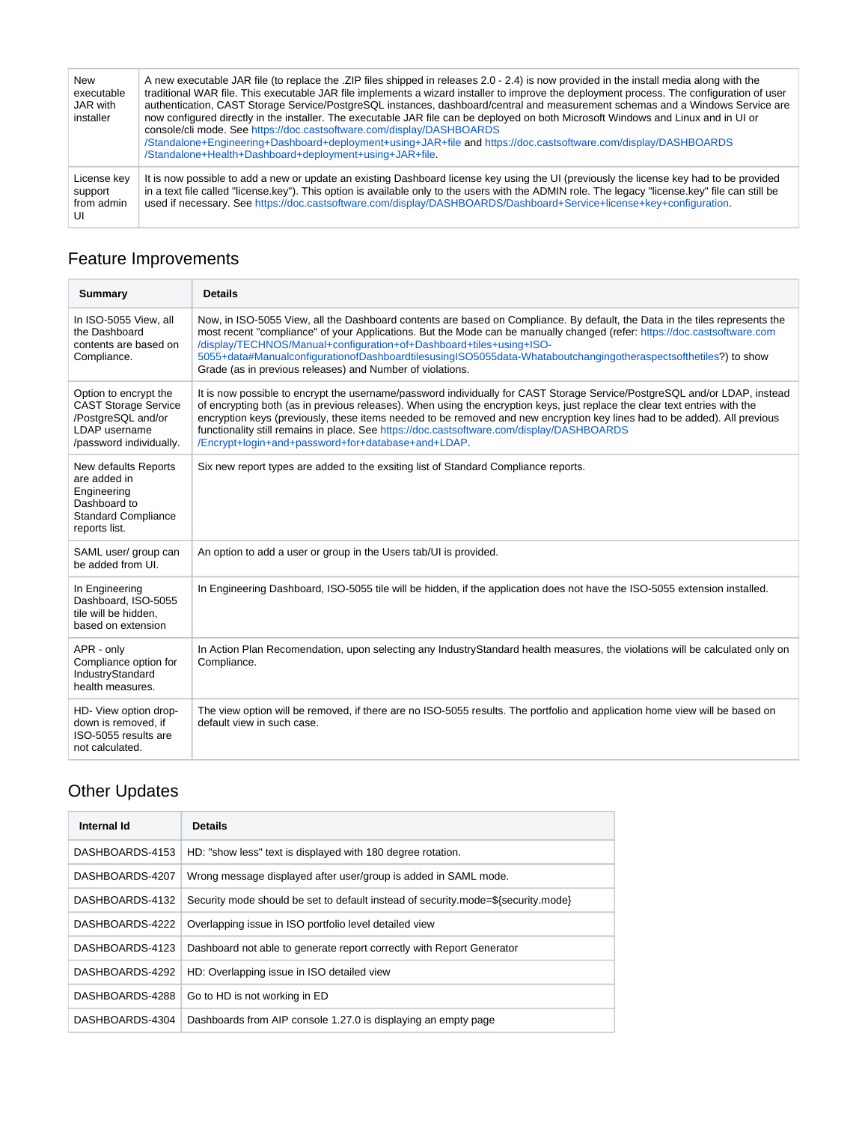| New<br>executable<br>JAR with<br>installer | A new executable JAR file (to replace the .ZIP files shipped in releases 2.0 - 2.4) is now provided in the install media along with the<br>traditional WAR file. This executable JAR file implements a wizard installer to improve the deployment process. The configuration of user<br>authentication, CAST Storage Service/PostgreSQL instances, dashboard/central and measurement schemas and a Windows Service are<br>now configured directly in the installer. The executable JAR file can be deployed on both Microsoft Windows and Linux and in UI or<br>console/cli mode. See https://doc.castsoftware.com/display/DASHBOARDS<br>/Standalone+Engineering+Dashboard+deployment+using+JAR+file and https://doc.castsoftware.com/display/DASHBOARDS<br>/Standalone+Health+Dashboard+deployment+using+JAR+file. |
|--------------------------------------------|---------------------------------------------------------------------------------------------------------------------------------------------------------------------------------------------------------------------------------------------------------------------------------------------------------------------------------------------------------------------------------------------------------------------------------------------------------------------------------------------------------------------------------------------------------------------------------------------------------------------------------------------------------------------------------------------------------------------------------------------------------------------------------------------------------------------|
| License key<br>support<br>from admin<br>UI | It is now possible to add a new or update an existing Dashboard license key using the UI (previously the license key had to be provided<br>in a text file called "license.key"). This option is available only to the users with the ADMIN role. The legacy "license.key" file can still be<br>used if necessary. See https://doc.castsoftware.com/display/DASHBOARDS/Dashboard+Service+license+key+configuration.                                                                                                                                                                                                                                                                                                                                                                                                  |

# <span id="page-3-0"></span>Feature Improvements

| <b>Summary</b>                                                                                                         | <b>Details</b>                                                                                                                                                                                                                                                                                                                                                                                                                                                                                                                         |
|------------------------------------------------------------------------------------------------------------------------|----------------------------------------------------------------------------------------------------------------------------------------------------------------------------------------------------------------------------------------------------------------------------------------------------------------------------------------------------------------------------------------------------------------------------------------------------------------------------------------------------------------------------------------|
| In ISO-5055 View, all<br>the Dashboard<br>contents are based on<br>Compliance.                                         | Now, in ISO-5055 View, all the Dashboard contents are based on Compliance. By default, the Data in the tiles represents the<br>most recent "compliance" of your Applications. But the Mode can be manually changed (refer: https://doc.castsoftware.com<br>/display/TECHNOS/Manual+configuration+of+Dashboard+tiles+using+ISO-<br>5055+data#ManualconfigurationofDashboardtilesusingISO5055data-Whataboutchangingotheraspectsofthetiles?) to show<br>Grade (as in previous releases) and Number of violations.                         |
| Option to encrypt the<br><b>CAST Storage Service</b><br>/PostgreSQL and/or<br>LDAP username<br>/password individually. | It is now possible to encrypt the username/password individually for CAST Storage Service/PostgreSQL and/or LDAP, instead<br>of encrypting both (as in previous releases). When using the encryption keys, just replace the clear text entries with the<br>encryption keys (previously, these items needed to be removed and new encryption key lines had to be added). All previous<br>functionality still remains in place. See https://doc.castsoftware.com/display/DASHBOARDS<br>/Encrypt+login+and+password+for+database+and+LDAP |
| New defaults Reports<br>are added in<br>Engineering<br>Dashboard to<br><b>Standard Compliance</b><br>reports list.     | Six new report types are added to the exsiting list of Standard Compliance reports.                                                                                                                                                                                                                                                                                                                                                                                                                                                    |
| SAML user/ group can<br>be added from UI.                                                                              | An option to add a user or group in the Users tab/UI is provided.                                                                                                                                                                                                                                                                                                                                                                                                                                                                      |
| In Engineering<br>Dashboard. ISO-5055<br>tile will be hidden,<br>based on extension                                    | In Engineering Dashboard, ISO-5055 tile will be hidden, if the application does not have the ISO-5055 extension installed.                                                                                                                                                                                                                                                                                                                                                                                                             |
| APR - only<br>Compliance option for<br>IndustryStandard<br>health measures.                                            | In Action Plan Recomendation, upon selecting any IndustryStandard health measures, the violations will be calculated only on<br>Compliance.                                                                                                                                                                                                                                                                                                                                                                                            |
| HD- View option drop-<br>down is removed, if<br>ISO-5055 results are<br>not calculated.                                | The view option will be removed, if there are no ISO-5055 results. The portfolio and application home view will be based on<br>default view in such case.                                                                                                                                                                                                                                                                                                                                                                              |

# <span id="page-3-1"></span>Other Updates

| Internal Id     | <b>Details</b>                                                                    |
|-----------------|-----------------------------------------------------------------------------------|
| DASHBOARDS-4153 | HD: "show less" text is displayed with 180 degree rotation.                       |
| DASHBOARDS-4207 | Wrong message displayed after user/group is added in SAML mode.                   |
| DASHBOARDS-4132 | Security mode should be set to default instead of security.mode=\${security.mode} |
| DASHBOARDS-4222 | Overlapping issue in ISO portfolio level detailed view                            |
| DASHBOARDS-4123 | Dashboard not able to generate report correctly with Report Generator             |
| DASHBOARDS-4292 | HD: Overlapping issue in ISO detailed view                                        |
| DASHBOARDS-4288 | Go to HD is not working in ED                                                     |
| DASHBOARDS-4304 | Dashboards from AIP console 1.27.0 is displaying an empty page                    |